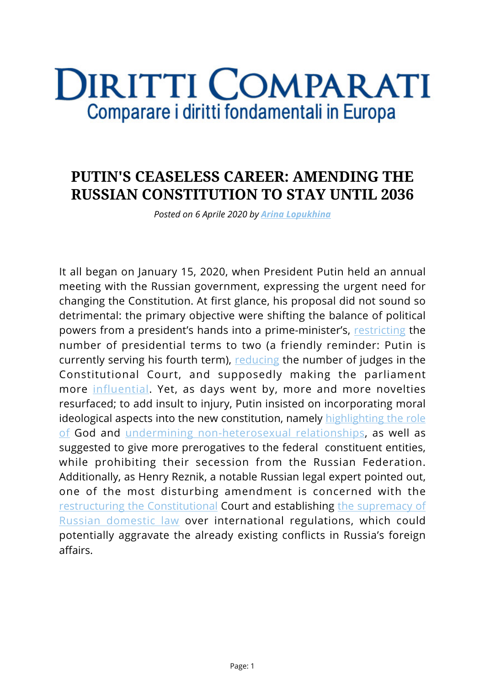## **DIRITTI COMPARATI** Comparare i diritti fondamentali in Europa

## **PUTIN'S CEASELESS CAREER: AMENDING THE RUSSIAN CONSTITUTION TO STAY UNTIL 2036**

*Posted on 6 Aprile 2020 by [Arina Lopukhina](https://www.diritticomparati.it/autore/arina-lopukhina/)*

It all began on January 15, 2020, when President Putin held an annual meeting with the Russian government, expressing the urgent need for changing the Constitution. At first glance, his proposal did not sound so detrimental: the primary objective were shifting the balance of political powers from a president's hands into a prime-minister's, [restricting](https://www.theguardian.com/world/2020/jan/15/putin-calls-for-constitution-changes-that-would-weaken-successor) the number of presidential terms to two (a friendly reminder: Putin is currently serving his fourth term), [reducing](https://www.theguardian.com/world/2020/jan/15/putin-calls-for-constitution-changes-that-would-weaken-successor) the number of judges in the Constitutional Court, and supposedly making the parliament more [influential](https://www.theguardian.com/world/2020/jan/15/putin-calls-for-constitution-changes-that-would-weaken-successor). Yet, as days went by, more and more novelties resurfaced; to add insult to injury, Putin insisted on incorporating moral ideological aspects into the new constitution, namely [highlighting the role](https://meduza.io/en/news/2020/03/02/putin-introduces-constitutional-amendments-banning-same-sex-marriage-and-mentioning-god) [of](https://meduza.io/en/news/2020/03/02/putin-introduces-constitutional-amendments-banning-same-sex-marriage-and-mentioning-god) God and [undermining non-heterosexual relationships](https://www.bbc.com/news/world-europe-51719764), as well as suggested to give more prerogatives to the federal constituent entities, while prohibiting their secession from the Russian Federation. Additionally, as Henry Reznik, a notable Russian legal expert pointed out, one of the most disturbing amendment is concerned with the [restructuring the Constitutional](https://imrussia.org/en/analysis/3077-what-happens-with-russia%E2%80%99s-constitutional-reform) Court and establishing [the supremacy of](https://globalsecurityreview.com/constitutional-reform-and-presidential-term-limits-in-russia/) [Russian domestic law](https://globalsecurityreview.com/constitutional-reform-and-presidential-term-limits-in-russia/) over international regulations, which could potentially aggravate the already existing conflicts in Russia's foreign affairs.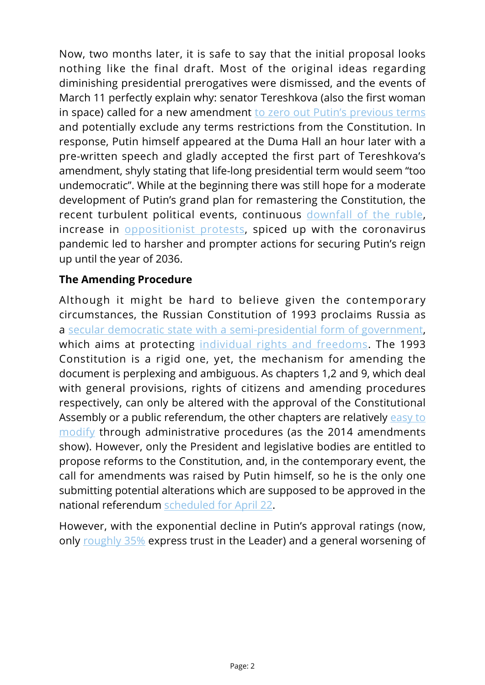Now, two months later, it is safe to say that the initial proposal looks nothing like the final draft. Most of the original ideas regarding diminishing presidential prerogatives were dismissed, and the events of March 11 perfectly explain why: senator Tereshkova (also the first woman in space) called for a new amendment [to zero out Putin's previous terms](https://www.themoscowtimes.com/2020/03/13/first-woman-in-space-brought-down-to-earth-by-backlash-over-bid-to-prolong-putin-rule-a69618) and potentially exclude any terms restrictions from the Constitution. In response, Putin himself appeared at the Duma Hall an hour later with a pre-written speech and gladly accepted the first part of Tereshkova's amendment, shyly stating that life-long presidential term would seem "too undemocratic". While at the beginning there was still hope for a moderate development of Putin's grand plan for remastering the Constitution, the recent turbulent political events, continuous [downfall of the ruble](https://www.themoscowtimes.com/2020/03/18/russia-coronavirus-ruble-stock-market-reaction-live-updates-a69640), increase in [oppositionist protests,](https://www.thedailybeast.com/street-protests-might-bring-down-putinor-make-him-even-more-dangerous-to-us) spiced up with the coronavirus pandemic led to harsher and prompter actions for securing Putin's reign up until the year of 2036.

## **The Amending Procedure**

Although it might be hard to believe given the contemporary circumstances, the Russian Constitution of 1993 proclaims Russia as a [secular democratic state with a semi-presidential form of government](http://www.constitution.ru/en/10003000-02.htm), which aims at protecting [individual rights and freedoms.](http://www.constitution.ru/en/10003000-03.htm) The 1993 Constitution is a rigid one, yet, the mechanism for amending the document is perplexing and ambiguous. As chapters 1,2 and 9, which deal with general provisions, rights of citizens and amending procedures respectively, can only be altered with the approval of the Constitutional Assembly or a public referendum, the other chapters are relatively [easy to](http://www.constitution.ru/en/10003000-10.htm) [modify](http://www.constitution.ru/en/10003000-10.htm) through administrative procedures (as the 2014 amendments show). However, only the President and legislative bodies are entitled to propose reforms to the Constitution, and, in the contemporary event, the call for amendments was raised by Putin himself, so he is the only one submitting potential alterations which are supposed to be approved in the national referendum [scheduled for April 22.](https://meduza.io/en/news/2020/03/03/russia-s-nationwide-vote-on-constitutional-reforms-now-has-a-slogan-and-logo)

However, with the exponential decline in Putin's approval ratings (now, only [roughly 35%](https://www.reuters.com/article/us-russia-putin-trust/russias-trust-in-putin-falls-to-six-year-low-despite-high-approval-rating-pollster-idUSKBN2062GQ) express trust in the Leader) and a general worsening of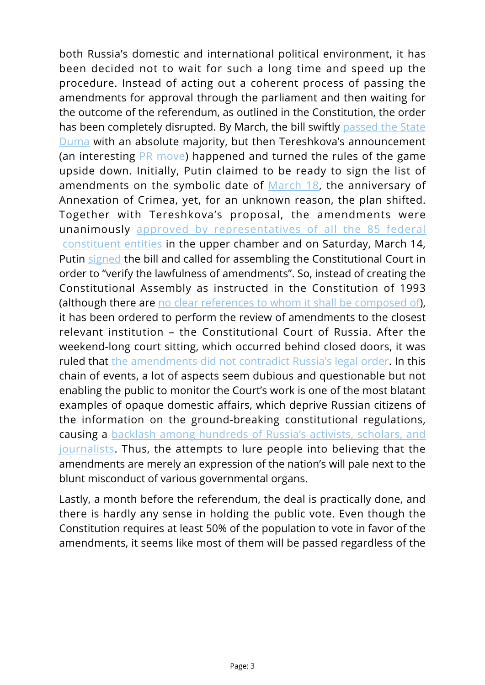both Russia's domestic and international political environment, it has been decided not to wait for such a long time and speed up the procedure. Instead of acting out a coherent process of passing the amendments for approval through the parliament and then waiting for the outcome of the referendum, as outlined in the Constitution, the order has been completely disrupted. By March, the bill swiftly [passed the State](https://www.themoscowtimes.com/2020/03/11/russian-lawmakers-adopt-putins-sweeping-constitutional-amendments-a69584) [Duma](https://www.themoscowtimes.com/2020/03/11/russian-lawmakers-adopt-putins-sweeping-constitutional-amendments-a69584) with an absolute majority, but then Tereshkova's announcement (an interesting [PR move\)](https://www.dw.com/en/opinion-putins-pushkin-like-play-to-lead-russia-till-2036/a-52714094) happened and turned the rules of the game upside down. Initially, Putin claimed to be ready to sign the list of amendments on the symbolic date of [March 18,](https://www.interfax.ru/russia/697692) the anniversary of Annexation of Crimea, yet, for an unknown reason, the plan shifted. Together with Tereshkova's proposal, the amendments were unanimously [approved by representatives of all the 85 federal](https://www.themoscowtimes.com/2020/03/11/russian-lawmakers-adopt-putins-sweeping-constitutional-amendments-a69584)  [constituent entities](https://www.themoscowtimes.com/2020/03/11/russian-lawmakers-adopt-putins-sweeping-constitutional-amendments-a69584) in the upper chamber and on Saturday, March 14, Putin [signed](https://www.dw.com/en/russia-putin-signs-law-that-could-keep-him-in-power-until-2036/a-52773484) the bill and called for assembling the Constitutional Court in order to "verify the lawfulness of amendments". So, instead of creating the Constitutional Assembly as instructed in the Constitution of 1993 (although there are [no clear references to whom it shall be composed of\)](http://www.constitution.ru/en/10003000-10.htm), it has been ordered to perform the review of amendments to the closest relevant institution – the Constitutional Court of Russia. After the weekend-long court sitting, which occurred behind closed doors, it was ruled that [the amendments did not contradict Russia's legal order.](https://www.rferl.org/a/russia-constitutional-court-approves-constitutional-amendments/30490913.html) In this chain of events, a lot of aspects seem dubious and questionable but not enabling the public to monitor the Court's work is one of the most blatant examples of opaque domestic affairs, which deprive Russian citizens of the information on the ground-breaking constitutional regulations, causing a [backlash among hundreds of Russia's activists, scholars, and](https://www.rferl.org/a/russian-scholars-legal-experts-sign-up-against-constitutional-coup-/30490881.html) [journalists.](https://www.rferl.org/a/russian-scholars-legal-experts-sign-up-against-constitutional-coup-/30490881.html) Thus, the attempts to lure people into believing that the amendments are merely an expression of the nation's will pale next to the blunt misconduct of various governmental organs.

Lastly, a month before the referendum, the deal is practically done, and there is hardly any sense in holding the public vote. Even though the Constitution requires at least 50% of the population to vote in favor of the amendments, it seems like most of them will be passed regardless of the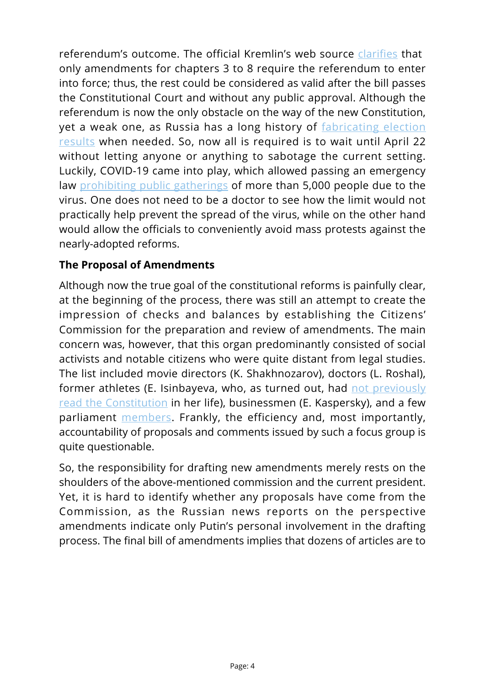referendum's outcome. The official Kremlin's web source [clarifies](http://en.kremlin.ru/acts/news/62988) that only amendments for chapters 3 to 8 require the referendum to enter into force; thus, the rest could be considered as valid after the bill passes the Constitutional Court and without any public approval. Although the referendum is now the only obstacle on the way of the new Constitution, yet a weak one, as Russia has a long history of [fabricating election](https://www.ucis.pitt.edu/nceeer/2008_822-11_Ordeshook.pdf) [results](https://www.ucis.pitt.edu/nceeer/2008_822-11_Ordeshook.pdf) when needed. So, now all is required is to wait until April 22 without letting anyone or anything to sabotage the current setting. Luckily, COVID-19 came into play, which allowed passing an emergency law [prohibiting public gatherings](https://meduza.io/en/news/2020/03/10/citing-coronavirus-fears-moscow-bans-all-mass-public-events-until-april-10) of more than 5,000 people due to the virus. One does not need to be a doctor to see how the limit would not practically help prevent the spread of the virus, while on the other hand would allow the officials to conveniently avoid mass protests against the nearly-adopted reforms.

## **The Proposal of Amendments**

Although now the true goal of the constitutional reforms is painfully clear, at the beginning of the process, there was still an attempt to create the impression of checks and balances by establishing the Citizens' Commission for the preparation and review of amendments. The main concern was, however, that this organ predominantly consisted of social activists and notable citizens who were quite distant from legal studies. The list included movie directors (K. Shakhnozarov), doctors (L. Roshal), former athletes (E. Isinbayeva, who, as turned out, had [not previously](https://www.thetimes.co.uk/article/yelena-isinbayeva-pole-vaulter-helps-putin-to-rewrite-history-pdnlw5605) [read the Constitution](https://www.thetimes.co.uk/article/yelena-isinbayeva-pole-vaulter-helps-putin-to-rewrite-history-pdnlw5605) in her life), businessmen (E. Kaspersky), and a few parliament [members.](https://meduza.io/en/feature/2020/01/21/how-russia-s-constitutional-reforms-went-from-nonexistent-to-fully-drafted-in-only-five-days) Frankly, the efficiency and, most importantly, accountability of proposals and comments issued by such a focus group is quite questionable.

So, the responsibility for drafting new amendments merely rests on the shoulders of the above-mentioned commission and the current president. Yet, it is hard to identify whether any proposals have come from the Commission, as the Russian news reports on the perspective amendments indicate only Putin's personal involvement in the drafting process. The final bill of amendments implies that dozens of articles are to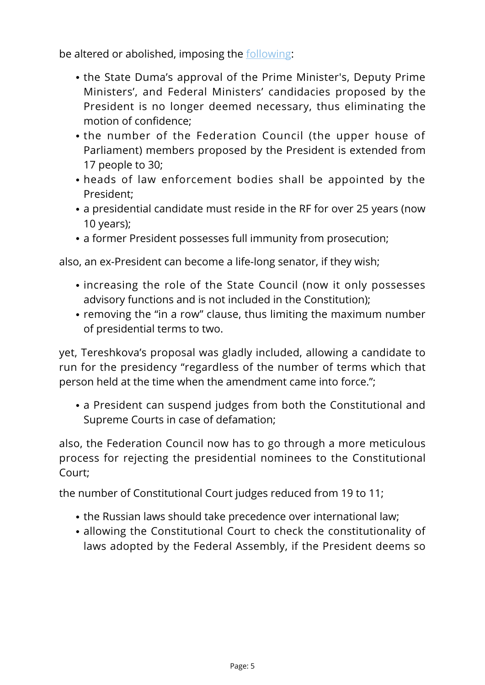be altered or abolished, imposing the [following](http://en.kremlin.ru/acts/news/62988):

- the State Duma's approval of the Prime Minister's, Deputy Prime Ministers', and Federal Ministers' candidacies proposed by the President is no longer deemed necessary, thus eliminating the motion of confidence;
- the number of the Federation Council (the upper house of Parliament) members proposed by the President is extended from 17 people to 30;
- heads of law enforcement bodies shall be appointed by the President;
- a presidential candidate must reside in the RF for over 25 years (now 10 years);
- a former President possesses full immunity from prosecution;

also, an ex-President can become a life-long senator, if they wish;

- increasing the role of the State Council (now it only possesses advisory functions and is not included in the Constitution);
- removing the "in a row" clause, thus limiting the maximum number of presidential terms to two.

yet, Tereshkova's proposal was gladly included, allowing a candidate to run for the presidency "regardless of the number of terms which that person held at the time when the amendment came into force.";

a President can suspend judges from both the Constitutional and Supreme Courts in case of defamation;

also, the Federation Council now has to go through a more meticulous process for rejecting the presidential nominees to the Constitutional Court;

the number of Constitutional Court judges reduced from 19 to 11;

- the Russian laws should take precedence over international law;
- allowing the Constitutional Court to check the constitutionality of laws adopted by the Federal Assembly, if the President deems so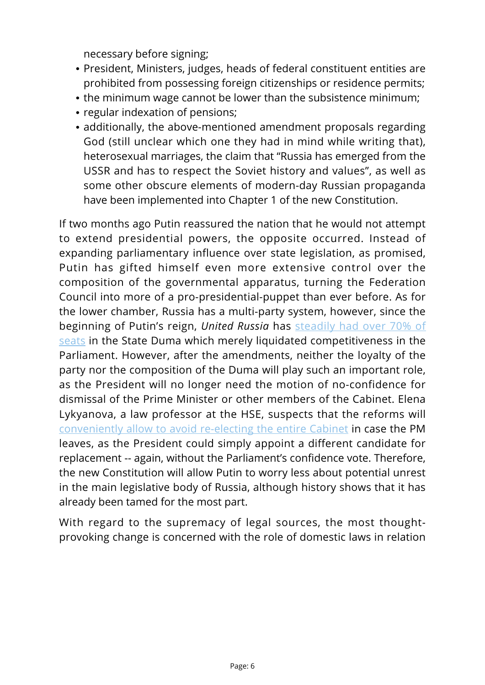necessary before signing;

- President, Ministers, judges, heads of federal constituent entities are prohibited from possessing foreign citizenships or residence permits;
- the minimum wage cannot be lower than the subsistence minimum;
- regular indexation of pensions:
- additionally, the above-mentioned amendment proposals regarding God (still unclear which one they had in mind while writing that), heterosexual marriages, the claim that "Russia has emerged from the USSR and has to respect the Soviet history and values", as well as some other obscure elements of modern-day Russian propaganda have been implemented into Chapter 1 of the new Constitution.

If two months ago Putin reassured the nation that he would not attempt to extend presidential powers, the opposite occurred. Instead of expanding parliamentary influence over state legislation, as promised, Putin has gifted himself even more extensive control over the composition of the governmental apparatus, turning the Federation Council into more of a pro-presidential-puppet than ever before. As for the lower chamber, Russia has a multi-party system, however, since the beginning of Putin's reign, *United Russia* has [steadily had over 70% of](https://tass.com/politics/982635) [seats](https://tass.com/politics/982635) in the State Duma which merely liquidated competitiveness in the Parliament. However, after the amendments, neither the loyalty of the party nor the composition of the Duma will play such an important role, as the President will no longer need the motion of no-confidence for dismissal of the Prime Minister or other members of the Cabinet. Elena Lykyanova, a law professor at the HSE, suspects that the reforms will [conveniently allow to avoid re-electing the entire Cabinet](https://imrussia.org/en/analysis/3077-what-happens-with-russia%E2%80%99s-constitutional-reform) in case the PM leaves, as the President could simply appoint a different candidate for replacement -- again, without the Parliament's confidence vote. Therefore, the new Constitution will allow Putin to worry less about potential unrest in the main legislative body of Russia, although history shows that it has already been tamed for the most part.

With regard to the supremacy of legal sources, the most thoughtprovoking change is concerned with the role of domestic laws in relation